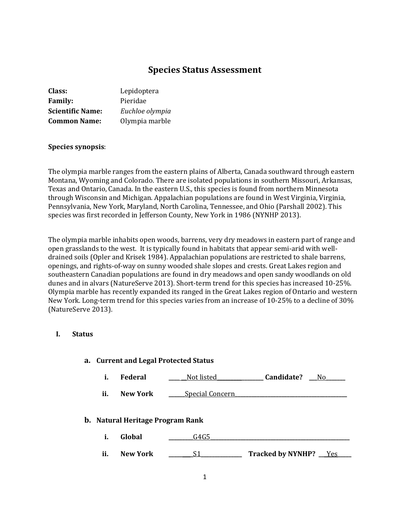# **Species Status Assessment**

| Lepidoptera     |
|-----------------|
| Pieridae        |
| Euchloe olympia |
| Olympia marble  |
|                 |

## **Species synopsis**:

The olympia marble ranges from the eastern plains of Alberta, Canada southward through eastern Montana, Wyoming and Colorado. There are isolated populations in southern Missouri, Arkansas, Texas and Ontario, Canada. In the eastern U.S., this species is found from northern Minnesota through Wisconsin and Michigan. Appalachian populations are found in West Virginia, Virginia, Pennsylvania, New York, Maryland, North Carolina, Tennessee, and Ohio (Parshall 2002). This species was first recorded in Jefferson County, New York in 1986 (NYNHP 2013).

The olympia marble inhabits open woods, barrens, very dry meadows in eastern part of range and open grasslands to the west. It is typically found in habitats that appear semi-arid with welldrained soils (Opler and Krisek 1984). Appalachian populations are restricted to shale barrens, openings, and rights-of-way on sunny wooded shale slopes and crests. Great Lakes region and southeastern Canadian populations are found in dry meadows and open sandy woodlands on old dunes and in alvars (NatureServe 2013). Short-term trend for this species has increased 10-25%. Olympia marble has recently expanded its ranged in the Great Lakes region of Ontario and western New York. Long-term trend for this species varies from an increase of 10-25% to a decline of 30% (NatureServe 2013).

#### **I. Status**

| a. Current and Legal Protected Status   |                 |                        |                         |
|-----------------------------------------|-----------------|------------------------|-------------------------|
| i.                                      | <b>Federal</b>  | Not listed             | <b>Candidate?</b> No    |
| ii.                                     | <b>New York</b> | <b>Special Concern</b> |                         |
| <b>b.</b> Natural Heritage Program Rank |                 |                        |                         |
| i.                                      | Global          | G4G5                   |                         |
| ii.                                     | <b>New York</b> | S1                     | Tracked by NYNHP? __Yes |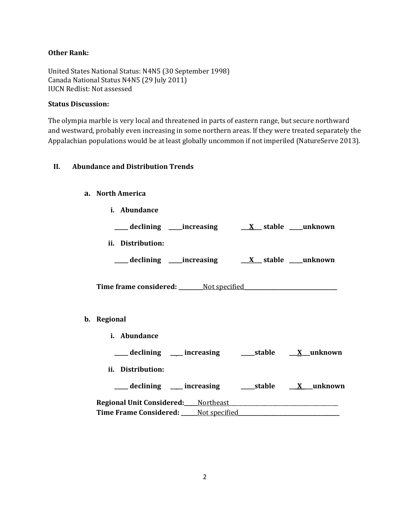## **Other Rank:**

United States National Status: N4N5 (30 September 1998) Canada National Status N4N5 (29 July 2011) IUCN Redlist: Not assessed

## **Status Discussion:**

**b**.

The olympia marble is very local and threatened in parts of eastern range, but secure northward and westward, probably even increasing in some northern areas. If they were treated separately the Appalachian populations would be at least globally uncommon if not imperiled (NatureServe 2013).

## **II. Abundance and Distribution Trends**

### **a. North America**

| i. Abundance      |  |  |                                                                |                                                                 |
|-------------------|--|--|----------------------------------------------------------------|-----------------------------------------------------------------|
|                   |  |  |                                                                |                                                                 |
| ii. Distribution: |  |  |                                                                |                                                                 |
|                   |  |  | ___ declining ____increasing ____ <u>X</u> __stable ___unknown |                                                                 |
|                   |  |  |                                                                |                                                                 |
|                   |  |  |                                                                |                                                                 |
| Regional          |  |  |                                                                |                                                                 |
| i. Abundance      |  |  |                                                                |                                                                 |
|                   |  |  |                                                                | ___ declining ___ increasing _____ stable ___ <u>X</u> _unknown |
| ii. Distribution: |  |  |                                                                |                                                                 |
|                   |  |  |                                                                | ___ declining ___ increasing ____ stable __ X __ unknown        |
|                   |  |  |                                                                |                                                                 |
|                   |  |  |                                                                |                                                                 |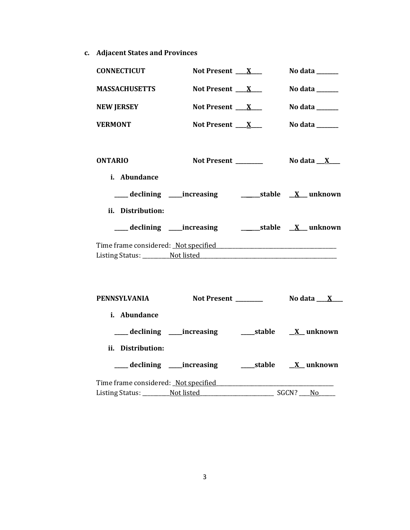**c. Adjacent States and Provinces**

| <b>CONNECTICUT</b>   | Not Present $X_{-}$                                                                                            | No data ______                             |
|----------------------|----------------------------------------------------------------------------------------------------------------|--------------------------------------------|
| <b>MASSACHUSETTS</b> | Not Present $X_{-}$                                                                                            | No data $\_\_\_\_\_\_\_\_\_\_\_\_\_\_\_\_$ |
| <b>NEW JERSEY</b>    | Not Present $X_{-}$                                                                                            | No data $\_\_\_\_\_\_\_\_\_\_\_\_\$        |
| <b>VERMONT</b>       | Not Present $X_{-}$                                                                                            | No data $\frac{1}{2}$                      |
| <b>ONTARIO</b>       | Not Present _______                                                                                            | No data $\_\ X$ $\_\_$                     |
| i. Abundance         |                                                                                                                |                                            |
|                      | ___ declining ____increasing _________________stable ___ X___ unknown                                          |                                            |
| ii. Distribution:    |                                                                                                                |                                            |
|                      |                                                                                                                |                                            |
|                      | Time frame considered: Not specified Manual Allen Manual Allen Manual Allen Manual Allen Manual Allen Manual A |                                            |
| PENNSYLVANIA         |                                                                                                                |                                            |
| i. Abundance         | ___ declining ____increasing _______stable ___ <u>X</u> __ unknown                                             |                                            |
| ii. Distribution:    |                                                                                                                |                                            |
|                      |                                                                                                                |                                            |

Listing Status: \_\_\_\_\_\_\_\_\_\_Not listed\_\_\_\_\_\_\_\_\_\_\_\_\_\_\_\_\_\_\_\_\_\_\_\_\_\_\_ SGCN? \_\_\_\_No\_\_\_\_\_\_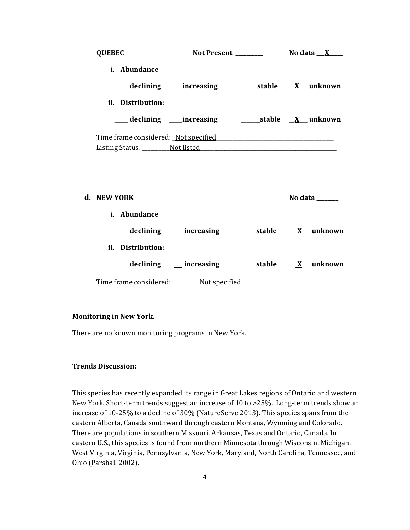| <b>QUEBEC</b>                        |  |         |
|--------------------------------------|--|---------|
| <i>i.</i> Abundance                  |  |         |
|                                      |  |         |
| ii. Distribution:                    |  |         |
|                                      |  |         |
| Time frame considered: Not specified |  |         |
|                                      |  |         |
|                                      |  |         |
|                                      |  |         |
| d. NEW YORK                          |  | No data |

| <i>i.</i> Abundance                  |             |                  |
|--------------------------------------|-------------|------------------|
| ____ declining ____ increasing       | ____ stable | <b>X</b> unknown |
| ii. Distribution:                    |             |                  |
| __declining ___increasing            | stable      | X unknown        |
| Time frame considered: Not specified |             |                  |

## **Monitoring in New York.**

There are no known monitoring programs in New York.

## **Trends Discussion:**

This species has recently expanded its range in Great Lakes regions of Ontario and western New York. Short-term trends suggest an increase of 10 to >25%. Long-term trends show an increase of 10-25% to a decline of 30% (NatureServe 2013). This species spans from the eastern Alberta, Canada southward through eastern Montana, Wyoming and Colorado. There are populations in southern Missouri, Arkansas, Texas and Ontario, Canada. In eastern U.S., this species is found from northern Minnesota through Wisconsin, Michigan, West Virginia, Virginia, Pennsylvania, New York, Maryland, North Carolina, Tennessee, and Ohio (Parshall 2002).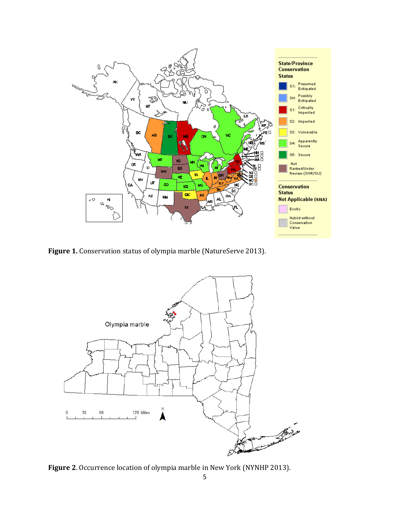

**Figure 1.** Conservation status of olympia marble (NatureServe 2013).



**Figure 2**. Occurrence location of olympia marble in New York (NYNHP 2013).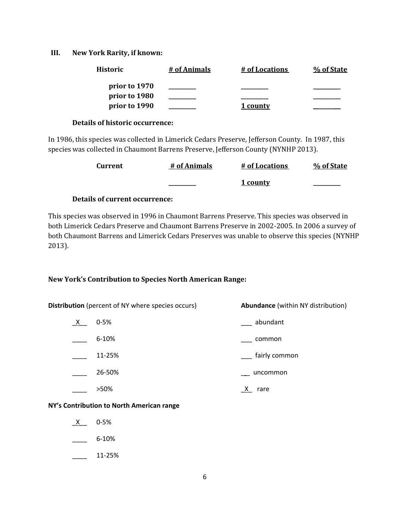#### **III. New York Rarity, if known:**

| <b>Historic</b> | # of Animals | # of Locations | % of State |
|-----------------|--------------|----------------|------------|
| prior to 1970   |              |                |            |
| prior to 1980   |              |                |            |
| prior to 1990   |              | 1 county       |            |

#### **Details of historic occurrence:**

In 1986, this species was collected in Limerick Cedars Preserve, Jefferson County. In 1987, this species was collected in Chaumont Barrens Preserve, Jefferson County (NYNHP 2013).

| <b>Current</b> | # of Animals | # of Locations | % of State |
|----------------|--------------|----------------|------------|
|                |              | 1 county       |            |

## **Details of current occurrence:**

This species was observed in 1996 in Chaumont Barrens Preserve. This species was observed in both Limerick Cedars Preserve and Chaumont Barrens Preserve in 2002-2005. In 2006 a survey of both Chaumont Barrens and Limerick Cedars Preserves was unable to observe this species (NYNHP 2013).

## **New York's Contribution to Species North American Range:**

| <b>Distribution</b> (percent of NY where species occurs) |  | <b>Abundance</b> (within NY distribution) |  |
|----------------------------------------------------------|--|-------------------------------------------|--|
| $0 - 5%$<br>$X_{-}$                                      |  | abundant                                  |  |
| $6 - 10%$                                                |  | common                                    |  |
| 11-25%                                                   |  | fairly common                             |  |
| 26-50%                                                   |  | uncommon                                  |  |
| >50%                                                     |  | rare                                      |  |

## **NY's Contribution to North American range**

- $X$  0-5%
- $-$  6-10%
- $\frac{11-25\%}{2}$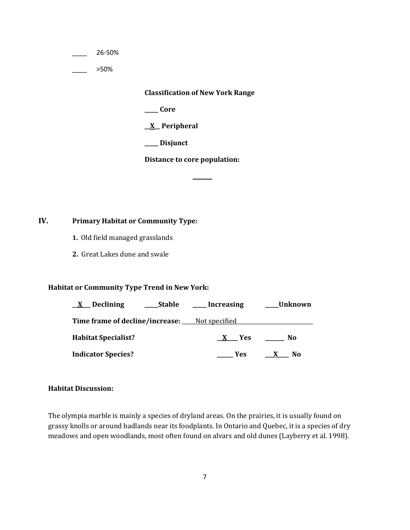\_\_\_\_ 26-50%

 $>50\%$ 

**Classification of New York Range**

**\_\_\_\_\_ Core**

**\_\_X\_\_ Peripheral**

**\_\_\_\_\_ Disjunct**

**Distance to core population:**

**\_\_\_\_\_\_\_**

## **IV. Primary Habitat or Community Type:**

- **1.** Old field managed grasslands
- **2.** Great Lakes dune and swale

## **Habitat or Community Type Trend in New York:**

| Declining<br>Stable<br>$\mathbf{X}$                  | Increasing | Unknown_ |
|------------------------------------------------------|------------|----------|
| <b>Time frame of decline/increase:</b> Not specified |            |          |
| <b>Habitat Specialist?</b>                           | X Yes      | No.      |
| <b>Indicator Species?</b>                            | Yes        | No       |

#### **Habitat Discussion:**

The olympia marble is mainly a species of dryland areas. On the prairies, it is usually found on grassy knolls or around badlands near its foodplants. In Ontario and Quebec, it is a species of dry meadows and open woodlands, most often found on alvars and old dunes (Layberry et al. 1998).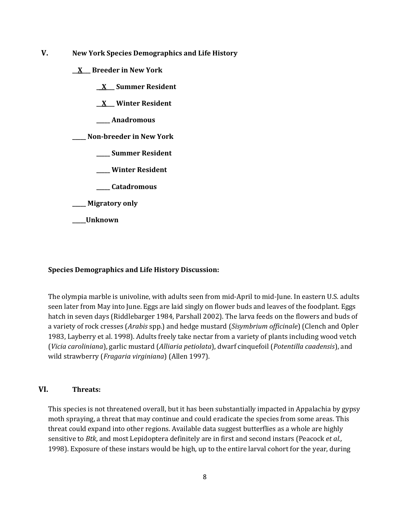- **V. New York Species Demographics and Life History**
	- **\_\_X\_\_\_ Breeder in New York**
		- **\_\_X\_\_\_ Summer Resident**

**\_\_X\_\_\_ Winter Resident**

**\_\_\_\_\_ Anadromous**

**\_\_\_\_\_ Non-breeder in New York**

- **\_\_\_\_\_ Summer Resident**
- **\_\_\_\_\_ Winter Resident**
- **\_\_\_\_\_ Catadromous**
- **\_\_\_\_\_ Migratory only**
- **\_\_\_\_\_Unknown**

#### **Species Demographics and Life History Discussion:**

The olympia marble is univoline, with adults seen from mid-April to mid-June. In eastern U.S. adults seen later from May into June. Eggs are laid singly on flower buds and leaves of the foodplant. Eggs hatch in seven days (Riddlebarger 1984, Parshall 2002). The larva feeds on the flowers and buds of a variety of rock cresses (*Arabis* spp.) and hedge mustard (*Sisymbrium officinale*) (Clench and Opler 1983, Layberry et al. 1998). Adults freely take nectar from a variety of plants including wood vetch (*Vicia caroliniana*), garlic mustard (*Alliaria petiolata*), dwarf cinquefoil (*Potentilla caadensis*), and wild strawberry (*Fragaria virginiana*) (Allen 1997).

#### **VI. Threats:**

This species is not threatened overall, but it has been substantially impacted in Appalachia by gypsy moth spraying, a threat that may continue and could eradicate the species from some areas. This threat could expand into other regions. Available data suggest butterflies as a whole are highly sensitive to *Btk*, and most Lepidoptera definitely are in first and second instars (Peacock *et al.,*  1998). Exposure of these instars would be high, up to the entire larval cohort for the year, during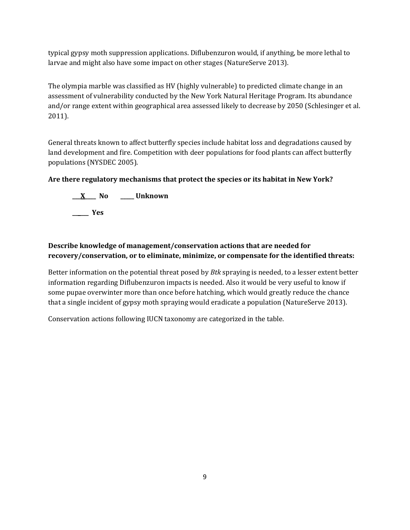typical gypsy moth suppression applications. Diflubenzuron would, if anything, be more lethal to larvae and might also have some impact on other stages (NatureServe 2013).

The olympia marble was classified as HV (highly vulnerable) to predicted climate change in an assessment of vulnerability conducted by the New York Natural Heritage Program. Its abundance and/or range extent within geographical area assessed likely to decrease by 2050 (Schlesinger et al. 2011).

General threats known to affect butterfly species include habitat loss and degradations caused by land development and fire. Competition with deer populations for food plants can affect butterfly populations (NYSDEC 2005).

# **Are there regulatory mechanisms that protect the species or its habitat in New York?**

**\_\_\_X\_\_\_\_ No \_\_\_\_\_ Unknown \_\_\_\_\_\_ Yes** 

# **Describe knowledge of management/conservation actions that are needed for recovery/conservation, or to eliminate, minimize, or compensate for the identified threats:**

Better information on the potential threat posed by *Btk* spraying is needed, to a lesser extent better information regarding Diflubenzuron impacts is needed. Also it would be very useful to know if some pupae overwinter more than once before hatching, which would greatly reduce the chance that a single incident of gypsy moth spraying would eradicate a population (NatureServe 2013).

Conservation actions following IUCN taxonomy are categorized in the table.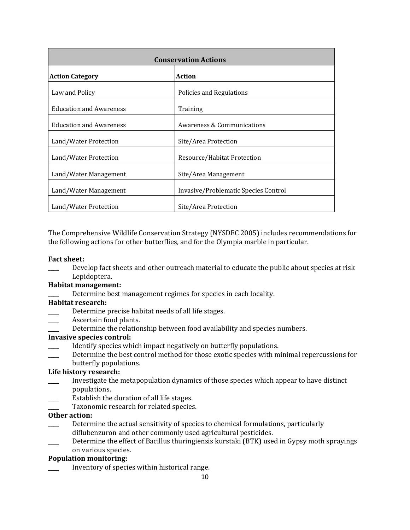| <b>Conservation Actions</b>    |                                       |  |
|--------------------------------|---------------------------------------|--|
| <b>Action Category</b>         | Action                                |  |
| Law and Policy                 | Policies and Regulations              |  |
| <b>Education and Awareness</b> | Training                              |  |
| <b>Education and Awareness</b> | <b>Awareness &amp; Communications</b> |  |
| Land/Water Protection          | Site/Area Protection                  |  |
| Land/Water Protection          | Resource/Habitat Protection           |  |
| Land/Water Management          | Site/Area Management                  |  |
| Land/Water Management          | Invasive/Problematic Species Control  |  |
| Land/Water Protection          | Site/Area Protection                  |  |

The Comprehensive Wildlife Conservation Strategy (NYSDEC 2005) includes recommendations for the following actions for other butterflies, and for the Olympia marble in particular.

## **Fact sheet:**

Develop fact sheets and other outreach material to educate the public about species at risk Lepidoptera.

## **Habitat management:**

Determine best management regimes for species in each locality.

### **Habitat research:**

- **EXECUTE:** Determine precise habitat needs of all life stages.
- Ascertain food plants.
- Determine the relationship between food availability and species numbers.

### **Invasive species control:**

- Identify species which impact negatively on butterfly populations.
- Determine the best control method for those exotic species with minimal repercussions for
- butterfly populations.

## **Life history research:**

- \_\_\_\_ Investigate the metapopulation dynamics of those species which appear to have distinct populations.
- Establish the duration of all life stages.
- Taxonomic research for related species.

## **Other action:**

- Determine the actual sensitivity of species to chemical formulations, particularly diflubenzuron and other commonly used agricultural pesticides.
- Determine the effect of Bacillus thuringiensis kurstaki (BTK) used in Gypsy moth sprayings on various species.

## **Population monitoring:**

Inventory of species within historical range.